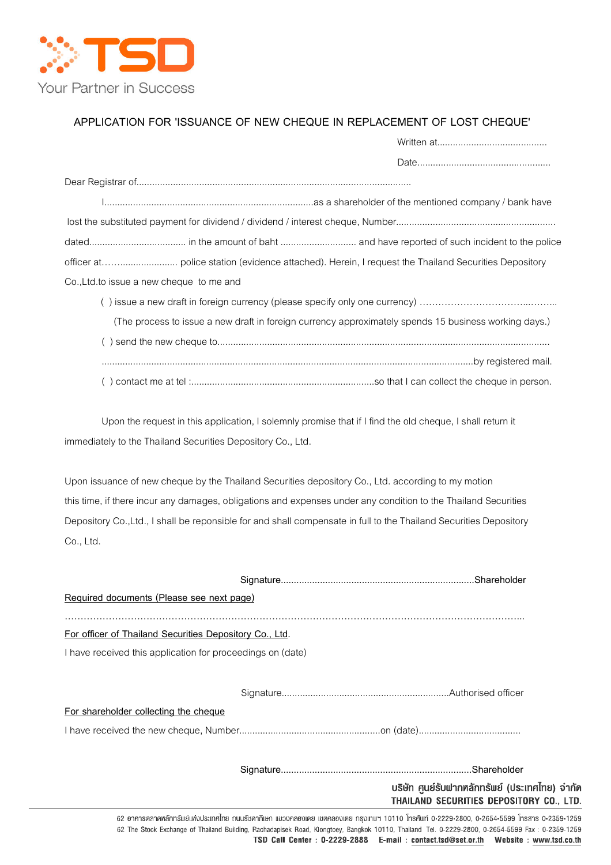

## APPLICATION FOR 'ISSUANCE OF NEW CHEQUE IN REPLACEMENT OF LOST CHEQUE'

| Co., Ltd. to issue a new cheque to me and |                                                                                                       |
|-------------------------------------------|-------------------------------------------------------------------------------------------------------|
|                                           |                                                                                                       |
|                                           | (The process to issue a new draft in foreign currency approximately spends 15 business working days.) |
|                                           |                                                                                                       |
|                                           |                                                                                                       |
|                                           |                                                                                                       |

 Upon the request in this application, I solemnly promise that if I find the old cheque, I shall return it immediately to the Thailand Securities Depository Co., Ltd.

 Upon issuance of new cheque by the Thailand Securities depository Co., Ltd. according to my motion this time, if there incur any damages, obligations and expenses under any condition to the Thailand Securities Depository Co.,Ltd., I shall be reponsible for and shall compensate in full to the Thailand Securities Depository Co., Ltd.

| Required documents (Please see next page)                  |                                                                                            |
|------------------------------------------------------------|--------------------------------------------------------------------------------------------|
| For officer of Thailand Securities Depository Co., Ltd.    |                                                                                            |
| I have received this application for proceedings on (date) |                                                                                            |
|                                                            |                                                                                            |
| For shareholder collecting the cheque                      |                                                                                            |
|                                                            |                                                                                            |
|                                                            |                                                                                            |
|                                                            | บริษัท ศูนย์รับฟากหลักทรัพย์ (ประเทศไทย) จำกัด<br>THAILAND SECURITIES DEPOSITORY CO., LTD. |
|                                                            |                                                                                            |

62 อาคารตลาดหลักทรัพย์แท่งประเทศไทย ถนนรัชคากิเษก แขวงคลองเตย เขตคลองเตย กรุงเทพฯ 10110 โทรศัพท์ 0-2229-2800, 0-2654-5599 โทรสาร 0-2359-1259 62 The Stock Exchange of Thailand Building, Rachadapisek Road, Klongtoey, Bangkok 10110, Thailand Tel. 0-2229-2800, 0-2654-5599 Fax : 0-2359-1259 TSD Call Center : 0-2229-2888 E-mail : contact.tsd@set.or.th Website : www.tsd.co.th